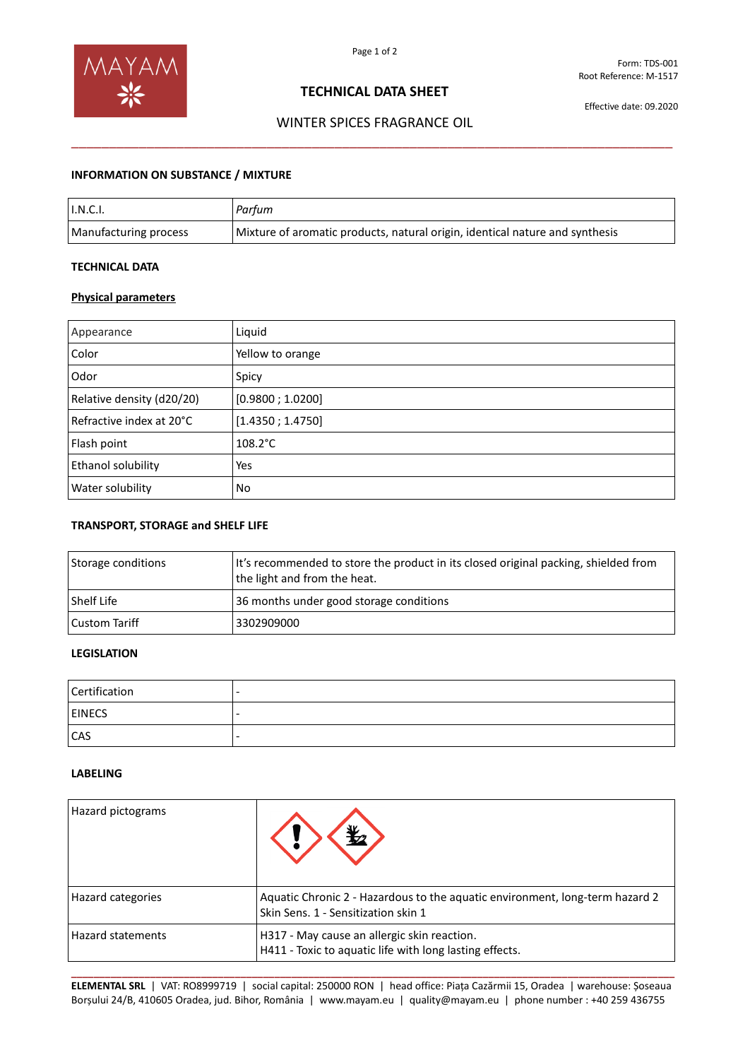

# **TECHNICAL DATA SHEET**

Effective date: 09.2020

# WINTER SPICES FRAGRANCE OIL \_\_\_\_\_\_\_\_\_\_\_\_\_\_\_\_\_\_\_\_\_\_\_\_\_\_\_\_\_\_\_\_\_\_\_\_\_\_\_\_\_\_\_\_\_\_\_\_\_\_\_\_\_\_\_\_\_\_\_\_\_\_\_\_\_\_\_\_\_\_\_\_\_\_\_\_\_\_\_\_

### **INFORMATION ON SUBSTANCE / MIXTURE**

| $\mathsf{I}.\mathsf{N}.\mathsf{C}.\mathsf{I}.$ | Parfum                                                                       |
|------------------------------------------------|------------------------------------------------------------------------------|
| Manufacturing process                          | Mixture of aromatic products, natural origin, identical nature and synthesis |

### **TECHNICAL DATA**

### **Physical parameters**

| Appearance                | Liquid            |
|---------------------------|-------------------|
| Color                     | Yellow to orange  |
| Odor                      | Spicy             |
| Relative density (d20/20) | [0.9800; 1.0200]  |
| Refractive index at 20°C  | [1.4350; 1.4750]  |
| Flash point               | $108.2^{\circ}$ C |
| Ethanol solubility        | Yes               |
| Water solubility          | No                |

#### **TRANSPORT, STORAGE and SHELF LIFE**

| Storage conditions | It's recommended to store the product in its closed original packing, shielded from<br>the light and from the heat. |
|--------------------|---------------------------------------------------------------------------------------------------------------------|
| <b>Shelf Life</b>  | 36 months under good storage conditions                                                                             |
| Custom Tariff      | 3302909000                                                                                                          |

# **LEGISLATION**

| Certification | $\overline{\phantom{0}}$ |
|---------------|--------------------------|
| <b>EINECS</b> | -                        |
| <b>CAS</b>    | -                        |

#### **LABELING**

| Hazard pictograms        |                                                                                                                     |
|--------------------------|---------------------------------------------------------------------------------------------------------------------|
| Hazard categories        | Aquatic Chronic 2 - Hazardous to the aquatic environment, long-term hazard 2<br>Skin Sens. 1 - Sensitization skin 1 |
| <b>Hazard statements</b> | H317 - May cause an allergic skin reaction.<br>H411 - Toxic to aquatic life with long lasting effects.              |

**\_\_\_\_\_\_\_\_\_\_\_\_\_\_\_\_\_\_\_\_\_\_\_\_\_\_\_\_\_\_\_\_\_\_\_\_\_\_\_\_\_\_\_\_\_\_\_\_\_\_\_\_\_\_\_\_\_\_\_\_\_\_\_\_\_\_\_\_\_\_\_\_\_\_\_\_\_\_\_\_\_\_\_\_\_\_\_\_\_\_\_\_\_\_\_\_\_\_\_\_\_\_\_\_\_\_\_ ELEMENTAL SRL** | VAT: RO8999719 | social capital: 250000 RON | head office: Piața Cazărmii 15, Oradea | warehouse: Șoseaua Borșului 24/B, 410605 Oradea, jud. Bihor, România | www.mayam.eu | quality@mayam.eu | phone number : +40 259 436755